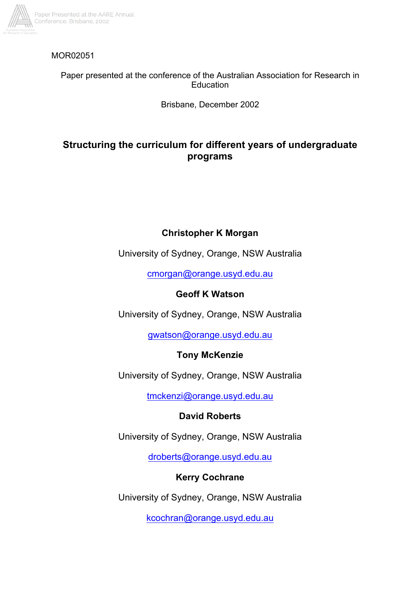

# MOR02051

# Paper presented at the conference of the Australian Association for Research in **Education**

Brisbane, December 2002

# **Structuring the curriculum for different years of undergraduate programs**

# **Christopher K Morgan**

University of Sydney, Orange, NSW Australia

cmorgan@orange.usyd.edu.au

# **Geoff K Watson**

University of Sydney, Orange, NSW Australia

gwatson@orange.usyd.edu.au

# **Tony McKenzie**

University of Sydney, Orange, NSW Australia

tmckenzi@orange.usyd.edu.au

# **David Roberts**

University of Sydney, Orange, NSW Australia

droberts@orange.usyd.edu.au

# **Kerry Cochrane**

University of Sydney, Orange, NSW Australia

kcochran@orange.usyd.edu.au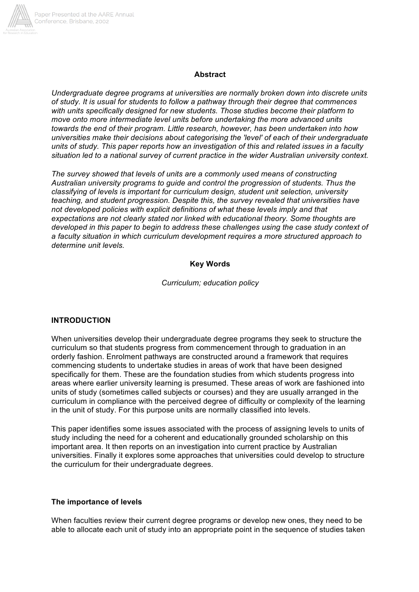

# **Abstract**

*Undergraduate degree programs at universities are normally broken down into discrete units of study. It is usual for students to follow a pathway through their degree that commences with units specifically designed for new students. Those studies become their platform to move onto more intermediate level units before undertaking the more advanced units towards the end of their program. Little research, however, has been undertaken into how universities make their decisions about categorising the 'level' of each of their undergraduate units of study. This paper reports how an investigation of this and related issues in a faculty situation led to a national survey of current practice in the wider Australian university context.*

*The survey showed that levels of units are a commonly used means of constructing Australian university programs to guide and control the progression of students. Thus the classifying of levels is important for curriculum design, student unit selection, university teaching, and student progression. Despite this, the survey revealed that universities have not developed policies with explicit definitions of what these levels imply and that expectations are not clearly stated nor linked with educational theory. Some thoughts are developed in this paper to begin to address these challenges using the case study context of a faculty situation in which curriculum development requires a more structured approach to determine unit levels.*

# **Key Words**

*Curriculum; education policy*

## **INTRODUCTION**

When universities develop their undergraduate degree programs they seek to structure the curriculum so that students progress from commencement through to graduation in an orderly fashion. Enrolment pathways are constructed around a framework that requires commencing students to undertake studies in areas of work that have been designed specifically for them. These are the foundation studies from which students progress into areas where earlier university learning is presumed. These areas of work are fashioned into units of study (sometimes called subjects or courses) and they are usually arranged in the curriculum in compliance with the perceived degree of difficulty or complexity of the learning in the unit of study. For this purpose units are normally classified into levels.

This paper identifies some issues associated with the process of assigning levels to units of study including the need for a coherent and educationally grounded scholarship on this important area. It then reports on an investigation into current practice by Australian universities. Finally it explores some approaches that universities could develop to structure the curriculum for their undergraduate degrees.

## **The importance of levels**

When faculties review their current degree programs or develop new ones, they need to be able to allocate each unit of study into an appropriate point in the sequence of studies taken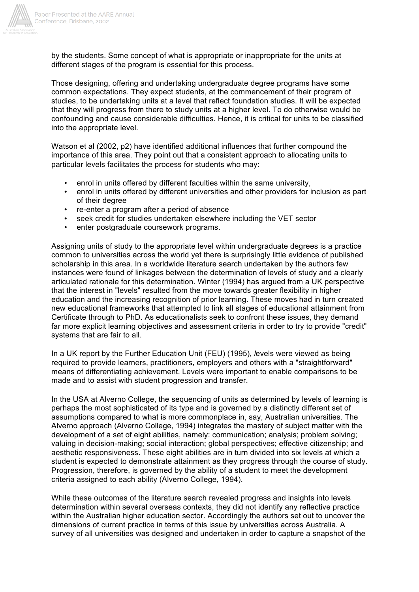

by the students. Some concept of what is appropriate or inappropriate for the units at different stages of the program is essential for this process.

Those designing, offering and undertaking undergraduate degree programs have some common expectations. They expect students, at the commencement of their program of studies, to be undertaking units at a level that reflect foundation studies. It will be expected that they will progress from there to study units at a higher level. To do otherwise would be confounding and cause considerable difficulties. Hence, it is critical for units to be classified into the appropriate level.

Watson et al (2002, p2) have identified additional influences that further compound the importance of this area. They point out that a consistent approach to allocating units to particular levels facilitates the process for students who may:

- enrol in units offered by different faculties within the same university,
- enrol in units offered by different universities and other providers for inclusion as part of their degree
- re-enter a program after a period of absence
- seek credit for studies undertaken elsewhere including the VET sector
- enter postgraduate coursework programs.

Assigning units of study to the appropriate level within undergraduate degrees is a practice common to universities across the world yet there is surprisingly little evidence of published scholarship in this area. In a worldwide literature search undertaken by the authors few instances were found of linkages between the determination of levels of study and a clearly articulated rationale for this determination. Winter (1994) has argued from a UK perspective that the interest in "levels" resulted from the move towards greater flexibility in higher education and the increasing recognition of prior learning. These moves had in turn created new educational frameworks that attempted to link all stages of educational attainment from Certificate through to PhD. As educationalists seek to confront these issues, they demand far more explicit learning objectives and assessment criteria in order to try to provide "credit" systems that are fair to all.

In a UK report by the Further Education Unit (FEU) (1995), *l*evels were viewed as being required to provide learners, practitioners, employers and others with a "straightforward" means of differentiating achievement. Levels were important to enable comparisons to be made and to assist with student progression and transfer.

In the USA at Alverno College, the sequencing of units as determined by levels of learning is perhaps the most sophisticated of its type and is governed by a distinctly different set of assumptions compared to what is more commonplace in, say, Australian universities. The Alverno approach (Alverno College, 1994) integrates the mastery of subject matter with the development of a set of eight abilities, namely: communication; analysis; problem solving; valuing in decision-making; social interaction; global perspectives; effective citizenship; and aesthetic responsiveness. These eight abilities are in turn divided into six levels at which a student is expected to demonstrate attainment as they progress through the course of study. Progression, therefore, is governed by the ability of a student to meet the development criteria assigned to each ability (Alverno College, 1994).

While these outcomes of the literature search revealed progress and insights into levels determination within several overseas contexts, they did not identify any reflective practice within the Australian higher education sector. Accordingly the authors set out to uncover the dimensions of current practice in terms of this issue by universities across Australia. A survey of all universities was designed and undertaken in order to capture a snapshot of the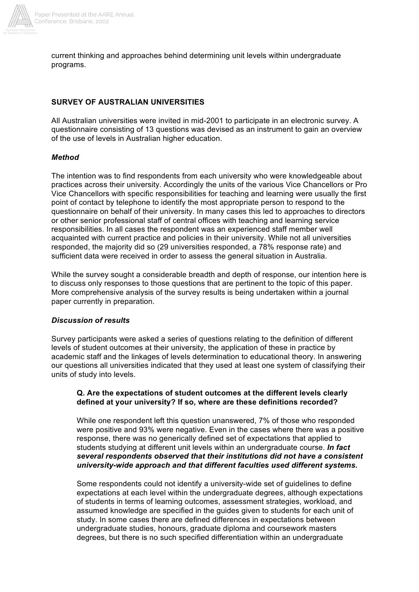

current thinking and approaches behind determining unit levels within undergraduate programs.

# **SURVEY OF AUSTRALIAN UNIVERSITIES**

All Australian universities were invited in mid-2001 to participate in an electronic survey. A questionnaire consisting of 13 questions was devised as an instrument to gain an overview of the use of levels in Australian higher education.

## *Method*

The intention was to find respondents from each university who were knowledgeable about practices across their university. Accordingly the units of the various Vice Chancellors or Pro Vice Chancellors with specific responsibilities for teaching and learning were usually the first point of contact by telephone to identify the most appropriate person to respond to the questionnaire on behalf of their university. In many cases this led to approaches to directors or other senior professional staff of central offices with teaching and learning service responsibilities. In all cases the respondent was an experienced staff member well acquainted with current practice and policies in their university. While not all universities responded, the majority did so (29 universities responded, a 78% response rate) and sufficient data were received in order to assess the general situation in Australia.

While the survey sought a considerable breadth and depth of response, our intention here is to discuss only responses to those questions that are pertinent to the topic of this paper. More comprehensive analysis of the survey results is being undertaken within a journal paper currently in preparation.

## *Discussion of results*

Survey participants were asked a series of questions relating to the definition of different levels of student outcomes at their university, the application of these in practice by academic staff and the linkages of levels determination to educational theory. In answering our questions all universities indicated that they used at least one system of classifying their units of study into levels.

#### **Q. Are the expectations of student outcomes at the different levels clearly defined at your university? If so, where are these definitions recorded?**

While one respondent left this question unanswered, 7% of those who responded were positive and 93% were negative. Even in the cases where there was a positive response, there was no generically defined set of expectations that applied to students studying at different unit levels within an undergraduate course. *In fact several respondents observed that their institutions did not have a consistent university-wide approach and that different faculties used different systems.*

Some respondents could not identify a university-wide set of guidelines to define expectations at each level within the undergraduate degrees, although expectations of students in terms of learning outcomes, assessment strategies, workload, and assumed knowledge are specified in the guides given to students for each unit of study. In some cases there are defined differences in expectations between undergraduate studies, honours, graduate diploma and coursework masters degrees, but there is no such specified differentiation within an undergraduate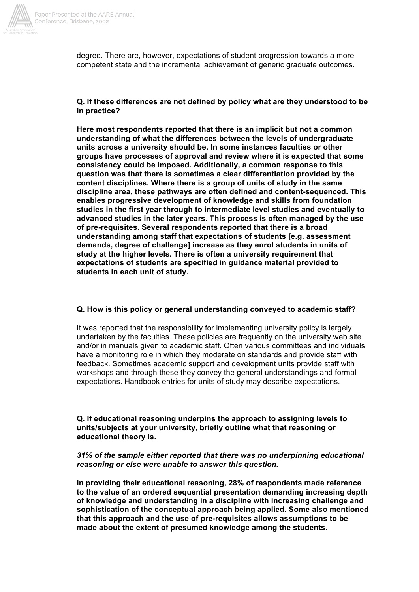

degree. There are, however, expectations of student progression towards a more competent state and the incremental achievement of generic graduate outcomes.

**Q. If these differences are not defined by policy what are they understood to be in practice?**

**Here most respondents reported that there is an implicit but not a common understanding of what the differences between the levels of undergraduate units across a university should be. In some instances faculties or other groups have processes of approval and review where it is expected that some consistency could be imposed. Additionally, a common response to this question was that there is sometimes a clear differentiation provided by the content disciplines. Where there is a group of units of study in the same discipline area, these pathways are often defined and content-sequenced. This enables progressive development of knowledge and skills from foundation studies in the first year through to intermediate level studies and eventually to advanced studies in the later years. This process is often managed by the use of pre-requisites. Several respondents reported that there is a broad understanding among staff that expectations of students [e.g. assessment demands, degree of challenge] increase as they enrol students in units of study at the higher levels. There is often a university requirement that expectations of students are specified in guidance material provided to students in each unit of study.**

## **Q. How is this policy or general understanding conveyed to academic staff?**

It was reported that the responsibility for implementing university policy is largely undertaken by the faculties. These policies are frequently on the university web site and/or in manuals given to academic staff. Often various committees and individuals have a monitoring role in which they moderate on standards and provide staff with feedback. Sometimes academic support and development units provide staff with workshops and through these they convey the general understandings and formal expectations. Handbook entries for units of study may describe expectations.

**Q. If educational reasoning underpins the approach to assigning levels to units/subjects at your university, briefly outline what that reasoning or educational theory is.**

#### *31% of the sample either reported that there was no underpinning educational reasoning or else were unable to answer this question.*

**In providing their educational reasoning, 28% of respondents made reference to the value of an ordered sequential presentation demanding increasing depth of knowledge and understanding in a discipline with increasing challenge and sophistication of the conceptual approach being applied. Some also mentioned that this approach and the use of pre-requisites allows assumptions to be made about the extent of presumed knowledge among the students.**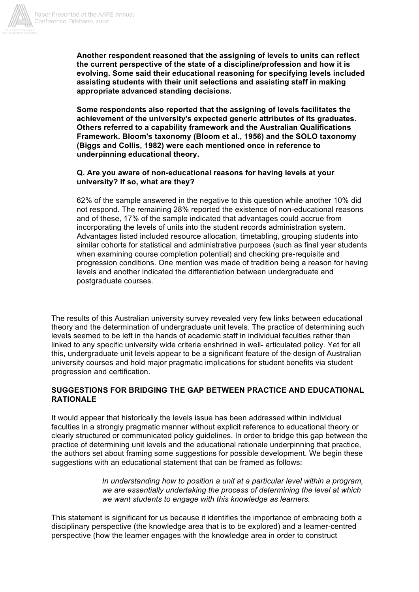

**Another respondent reasoned that the assigning of levels to units can reflect the current perspective of the state of a discipline/profession and how it is evolving. Some said their educational reasoning for specifying levels included assisting students with their unit selections and assisting staff in making appropriate advanced standing decisions.**

**Some respondents also reported that the assigning of levels facilitates the achievement of the university's expected generic attributes of its graduates. Others referred to a capability framework and the Australian Qualifications Framework. Bloom's taxonomy (Bloom et al., 1956) and the SOLO taxonomy (Biggs and Collis, 1982) were each mentioned once in reference to underpinning educational theory.**

# **Q. Are you aware of non-educational reasons for having levels at your university? If so, what are they?**

62% of the sample answered in the negative to this question while another 10% did not respond. The remaining 28% reported the existence of non-educational reasons and of these, 17% of the sample indicated that advantages could accrue from incorporating the levels of units into the student records administration system. Advantages listed included resource allocation, timetabling, grouping students into similar cohorts for statistical and administrative purposes (such as final year students when examining course completion potential) and checking pre-requisite and progression conditions. One mention was made of tradition being a reason for having levels and another indicated the differentiation between undergraduate and postgraduate courses.

The results of this Australian university survey revealed very few links between educational theory and the determination of undergraduate unit levels. The practice of determining such levels seemed to be left in the hands of academic staff in individual faculties rather than linked to any specific university wide criteria enshrined in well- articulated policy. Yet for all this, undergraduate unit levels appear to be a significant feature of the design of Australian university courses and hold major pragmatic implications for student benefits via student progression and certification.

# **SUGGESTIONS FOR BRIDGING THE GAP BETWEEN PRACTICE AND EDUCATIONAL RATIONALE**

It would appear that historically the levels issue has been addressed within individual faculties in a strongly pragmatic manner without explicit reference to educational theory or clearly structured or communicated policy guidelines. In order to bridge this gap between the practice of determining unit levels and the educational rationale underpinning that practice, the authors set about framing some suggestions for possible development. We begin these suggestions with an educational statement that can be framed as follows:

> *In understanding how to position a unit at a particular level within a program, we are essentially undertaking the process of determining the level at which we want students to engage with this knowledge as learners.*

This statement is significant for us because it identifies the importance of embracing both a disciplinary perspective (the knowledge area that is to be explored) and a learner-centred perspective (how the learner engages with the knowledge area in order to construct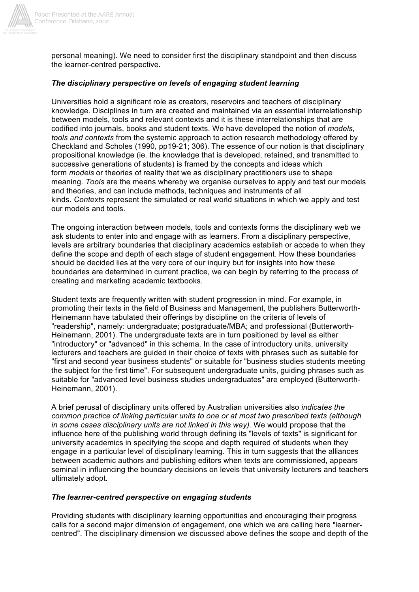

personal meaning). We need to consider first the disciplinary standpoint and then discuss the learner-centred perspective.

## *The disciplinary perspective on levels of engaging student learning*

Universities hold a significant role as creators, reservoirs and teachers of disciplinary knowledge. Disciplines in turn are created and maintained via an essential interrelationship between models, tools and relevant contexts and it is these interrelationships that are codified into journals, books and student texts. We have developed the notion of *models, tools and contexts* from the systemic approach to action research methodology offered by Checkland and Scholes (1990, pp19-21; 306). The essence of our notion is that disciplinary propositional knowledge (ie. the knowledge that is developed, retained, and transmitted to successive generations of students) is framed by the concepts and ideas which form *models* or theories of reality that we as disciplinary practitioners use to shape meaning. *Tools* are the means whereby we organise ourselves to apply and test our models and theories, and can include methods, techniques and instruments of all kinds. *Contexts* represent the simulated or real world situations in which we apply and test our models and tools.

The ongoing interaction between models, tools and contexts forms the disciplinary web we ask students to enter into and engage with as learners. From a disciplinary perspective, levels are arbitrary boundaries that disciplinary academics establish or accede to when they define the scope and depth of each stage of student engagement. How these boundaries should be decided lies at the very core of our inquiry but for insights into how these boundaries are determined in current practice, we can begin by referring to the process of creating and marketing academic textbooks.

Student texts are frequently written with student progression in mind. For example, in promoting their texts in the field of Business and Management, the publishers Butterworth-Heinemann have tabulated their offerings by discipline on the criteria of levels of "readership", namely: undergraduate; postgraduate/MBA; and professional (Butterworth-Heinemann, 2001). The undergraduate texts are in turn positioned by level as either "introductory" or "advanced" in this schema. In the case of introductory units, university lecturers and teachers are guided in their choice of texts with phrases such as suitable for "first and second year business students" or suitable for "business studies students meeting the subject for the first time". For subsequent undergraduate units, guiding phrases such as suitable for "advanced level business studies undergraduates" are employed (Butterworth-Heinemann, 2001).

A brief perusal of disciplinary units offered by Australian universities also *indicates the common practice of linking particular units to one or at most two prescribed texts (although in some cases disciplinary units are not linked in this way).* We would propose that the influence here of the publishing world through defining its "levels of texts" is significant for university academics in specifying the scope and depth required of students when they engage in a particular level of disciplinary learning. This in turn suggests that the alliances between academic authors and publishing editors when texts are commissioned, appears seminal in influencing the boundary decisions on levels that university lecturers and teachers ultimately adopt.

#### *The learner-centred perspective on engaging students*

Providing students with disciplinary learning opportunities and encouraging their progress calls for a second major dimension of engagement, one which we are calling here "learnercentred". The disciplinary dimension we discussed above defines the scope and depth of the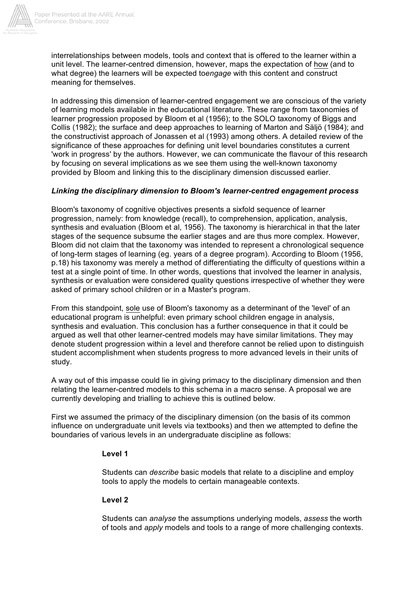

interrelationships between models, tools and context that is offered to the learner within a unit level. The learner-centred dimension, however, maps the expectation of how (and to what degree) the learners will be expected to*engage* with this content and construct meaning for themselves.

In addressing this dimension of learner-centred engagement we are conscious of the variety of learning models available in the educational literature. These range from taxonomies of learner progression proposed by Bloom et al (1956); to the SOLO taxonomy of Biggs and Collis (1982); the surface and deep approaches to learning of Marton and Säljö (1984); and the constructivist approach of Jonassen et al (1993) among others. A detailed review of the significance of these approaches for defining unit level boundaries constitutes a current 'work in progress' by the authors. However, we can communicate the flavour of this research by focusing on several implications as we see them using the well-known taxonomy provided by Bloom and linking this to the disciplinary dimension discussed earlier.

## *Linking the disciplinary dimension to Bloom's learner-centred engagement process*

Bloom's taxonomy of cognitive objectives presents a sixfold sequence of learner progression, namely: from knowledge (recall), to comprehension, application, analysis, synthesis and evaluation (Bloom et al, 1956). The taxonomy is hierarchical in that the later stages of the sequence subsume the earlier stages and are thus more complex. However, Bloom did not claim that the taxonomy was intended to represent a chronological sequence of long-term stages of learning (eg. years of a degree program). According to Bloom (1956, p.18) his taxonomy was merely a method of differentiating the difficulty of questions within a test at a single point of time. In other words, questions that involved the learner in analysis, synthesis or evaluation were considered quality questions irrespective of whether they were asked of primary school children or in a Master's program.

From this standpoint, sole use of Bloom's taxonomy as a determinant of the 'level' of an educational program is unhelpful: even primary school children engage in analysis, synthesis and evaluation. This conclusion has a further consequence in that it could be argued as well that other learner-centred models may have similar limitations. They may denote student progression within a level and therefore cannot be relied upon to distinguish student accomplishment when students progress to more advanced levels in their units of study.

A way out of this impasse could lie in giving primacy to the disciplinary dimension and then relating the learner-centred models to this schema in a macro sense. A proposal we are currently developing and trialling to achieve this is outlined below.

First we assumed the primacy of the disciplinary dimension (on the basis of its common influence on undergraduate unit levels via textbooks) and then we attempted to define the boundaries of various levels in an undergraduate discipline as follows:

## **Level 1**

Students can *describe* basic models that relate to a discipline and employ tools to apply the models to certain manageable contexts.

## **Level 2**

Students can *analyse* the assumptions underlying models, *assess* the worth of tools and *apply* models and tools to a range of more challenging contexts.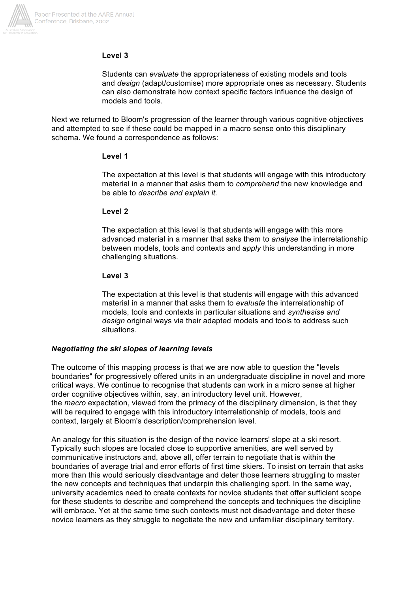

# **Level 3**

Students can *evaluate* the appropriateness of existing models and tools and *design* (adapt/customise) more appropriate ones as necessary. Students can also demonstrate how context specific factors influence the design of models and tools.

Next we returned to Bloom's progression of the learner through various cognitive objectives and attempted to see if these could be mapped in a macro sense onto this disciplinary schema. We found a correspondence as follows:

#### **Level 1**

The expectation at this level is that students will engage with this introductory material in a manner that asks them to *comprehend* the new knowledge and be able to *describe and explain it.*

## **Level 2**

The expectation at this level is that students will engage with this more advanced material in a manner that asks them to *analyse* the interrelationship between models, tools and contexts and *apply* this understanding in more challenging situations.

# **Level 3**

The expectation at this level is that students will engage with this advanced material in a manner that asks them to *evaluate* the interrelationship of models, tools and contexts in particular situations and *synthesise and design* original ways via their adapted models and tools to address such situations.

## *Negotiating the ski slopes of learning levels*

The outcome of this mapping process is that we are now able to question the "levels boundaries" for progressively offered units in an undergraduate discipline in novel and more critical ways. We continue to recognise that students can work in a micro sense at higher order cognitive objectives within, say, an introductory level unit. However, the *macro* expectation, viewed from the primacy of the disciplinary dimension, is that they will be required to engage with this introductory interrelationship of models, tools and context, largely at Bloom's description/comprehension level.

An analogy for this situation is the design of the novice learners' slope at a ski resort. Typically such slopes are located close to supportive amenities, are well served by communicative instructors and, above all, offer terrain to negotiate that is within the boundaries of average trial and error efforts of first time skiers. To insist on terrain that asks more than this would seriously disadvantage and deter those learners struggling to master the new concepts and techniques that underpin this challenging sport. In the same way, university academics need to create contexts for novice students that offer sufficient scope for these students to describe and comprehend the concepts and techniques the discipline will embrace. Yet at the same time such contexts must not disadvantage and deter these novice learners as they struggle to negotiate the new and unfamiliar disciplinary territory.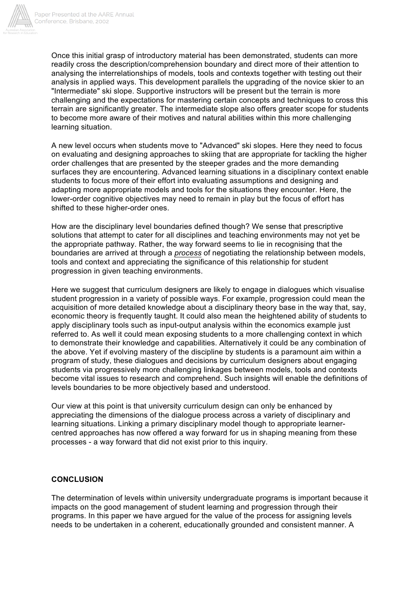

Once this initial grasp of introductory material has been demonstrated, students can more readily cross the description/comprehension boundary and direct more of their attention to analysing the interrelationships of models, tools and contexts together with testing out their analysis in applied ways. This development parallels the upgrading of the novice skier to an "Intermediate" ski slope. Supportive instructors will be present but the terrain is more challenging and the expectations for mastering certain concepts and techniques to cross this terrain are significantly greater. The intermediate slope also offers greater scope for students to become more aware of their motives and natural abilities within this more challenging learning situation.

A new level occurs when students move to "Advanced" ski slopes. Here they need to focus on evaluating and designing approaches to skiing that are appropriate for tackling the higher order challenges that are presented by the steeper grades and the more demanding surfaces they are encountering. Advanced learning situations in a disciplinary context enable students to focus more of their effort into evaluating assumptions and designing and adapting more appropriate models and tools for the situations they encounter. Here, the lower-order cognitive objectives may need to remain in play but the focus of effort has shifted to these higher-order ones.

How are the disciplinary level boundaries defined though? We sense that prescriptive solutions that attempt to cater for all disciplines and teaching environments may not yet be the appropriate pathway. Rather, the way forward seems to lie in recognising that the boundaries are arrived at through a *process* of negotiating the relationship between models, tools and context and appreciating the significance of this relationship for student progression in given teaching environments.

Here we suggest that curriculum designers are likely to engage in dialogues which visualise student progression in a variety of possible ways. For example, progression could mean the acquisition of more detailed knowledge about a disciplinary theory base in the way that, say, economic theory is frequently taught. It could also mean the heightened ability of students to apply disciplinary tools such as input-output analysis within the economics example just referred to. As well it could mean exposing students to a more challenging context in which to demonstrate their knowledge and capabilities. Alternatively it could be any combination of the above. Yet if evolving mastery of the discipline by students is a paramount aim within a program of study, these dialogues and decisions by curriculum designers about engaging students via progressively more challenging linkages between models, tools and contexts become vital issues to research and comprehend. Such insights will enable the definitions of levels boundaries to be more objectively based and understood.

Our view at this point is that university curriculum design can only be enhanced by appreciating the dimensions of the dialogue process across a variety of disciplinary and learning situations. Linking a primary disciplinary model though to appropriate learnercentred approaches has now offered a way forward for us in shaping meaning from these processes - a way forward that did not exist prior to this inquiry.

# **CONCLUSION**

The determination of levels within university undergraduate programs is important because it impacts on the good management of student learning and progression through their programs. In this paper we have argued for the value of the process for assigning levels needs to be undertaken in a coherent, educationally grounded and consistent manner. A